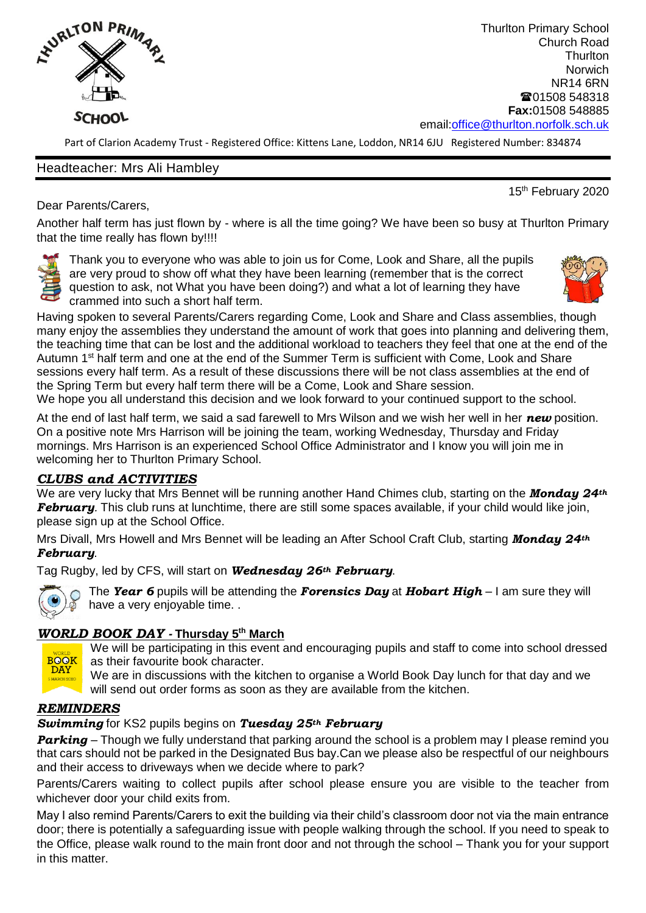

Thurlton Primary School Church Road **Thurlton Norwich** NR14 6RN ■01508 548318 **Fax:**01508 548885 email[:office@thurlton.norfolk.sch.uk](mailto:office@thurlton.norfolk.sch.uk)

Part of Clarion Academy Trust - Registered Office: Kittens Lane, Loddon, NR14 6JU Registered Number: 834874

#### Headteacher: Mrs Ali Hambley

15<sup>th</sup> February 2020

Dear Parents/Carers,

Another half term has just flown by - where is all the time going? We have been so busy at Thurlton Primary that the time really has flown by!!!!

Thank you to everyone who was able to join us for Come, Look and Share, all the pupils are very proud to show off what they have been learning (remember that is the correct question to ask, not What you have been doing?) and what a lot of learning they have crammed into such a short half term.



Having spoken to several Parents/Carers regarding Come, Look and Share and Class assemblies, though many enjoy the assemblies they understand the amount of work that goes into planning and delivering them, the teaching time that can be lost and the additional workload to teachers they feel that one at the end of the Autumn 1<sup>st</sup> half term and one at the end of the Summer Term is sufficient with Come, Look and Share sessions every half term. As a result of these discussions there will be not class assemblies at the end of the Spring Term but every half term there will be a Come, Look and Share session.

We hope you all understand this decision and we look forward to your continued support to the school.

At the end of last half term, we said a sad farewell to Mrs Wilson and we wish her well in her *new* position. On a positive note Mrs Harrison will be joining the team, working Wednesday, Thursday and Friday mornings. Mrs Harrison is an experienced School Office Administrator and I know you will join me in welcoming her to Thurlton Primary School.

## *CLUBS and ACTIVITIES*

We are very lucky that Mrs Bennet will be running another Hand Chimes club, starting on the *Monday 24th February.* This club runs at lunchtime, there are still some spaces available, if your child would like join, please sign up at the School Office.

Mrs Divall, Mrs Howell and Mrs Bennet will be leading an After School Craft Club, starting *Monday 24th February*.

Tag Rugby, led by CFS, will start on *Wednesday 26th February*.



The *Year 6* pupils will be attending the *Forensics Day* at *Hobart High* – I am sure they will have a very enjoyable time. .

# *WORLD BOOK DAY -* **Thursday 5 th March**



We will be participating in this event and encouraging pupils and staff to come into school dressed as their favourite book character.

We are in discussions with the kitchen to organise a World Book Day lunch for that day and we will send out order forms as soon as they are available from the kitchen.

### *REMINDERS*

### *Swimming* for KS2 pupils begins on *Tuesday 25th February*

*Parking* – Though we fully understand that parking around the school is a problem may I please remind you that cars should not be parked in the Designated Bus bay.Can we please also be respectful of our neighbours and their access to driveways when we decide where to park?

Parents/Carers waiting to collect pupils after school please ensure you are visible to the teacher from whichever door your child exits from.

May I also remind Parents/Carers to exit the building via their child's classroom door not via the main entrance door; there is potentially a safeguarding issue with people walking through the school. If you need to speak to the Office, please walk round to the main front door and not through the school – Thank you for your support in this matter.